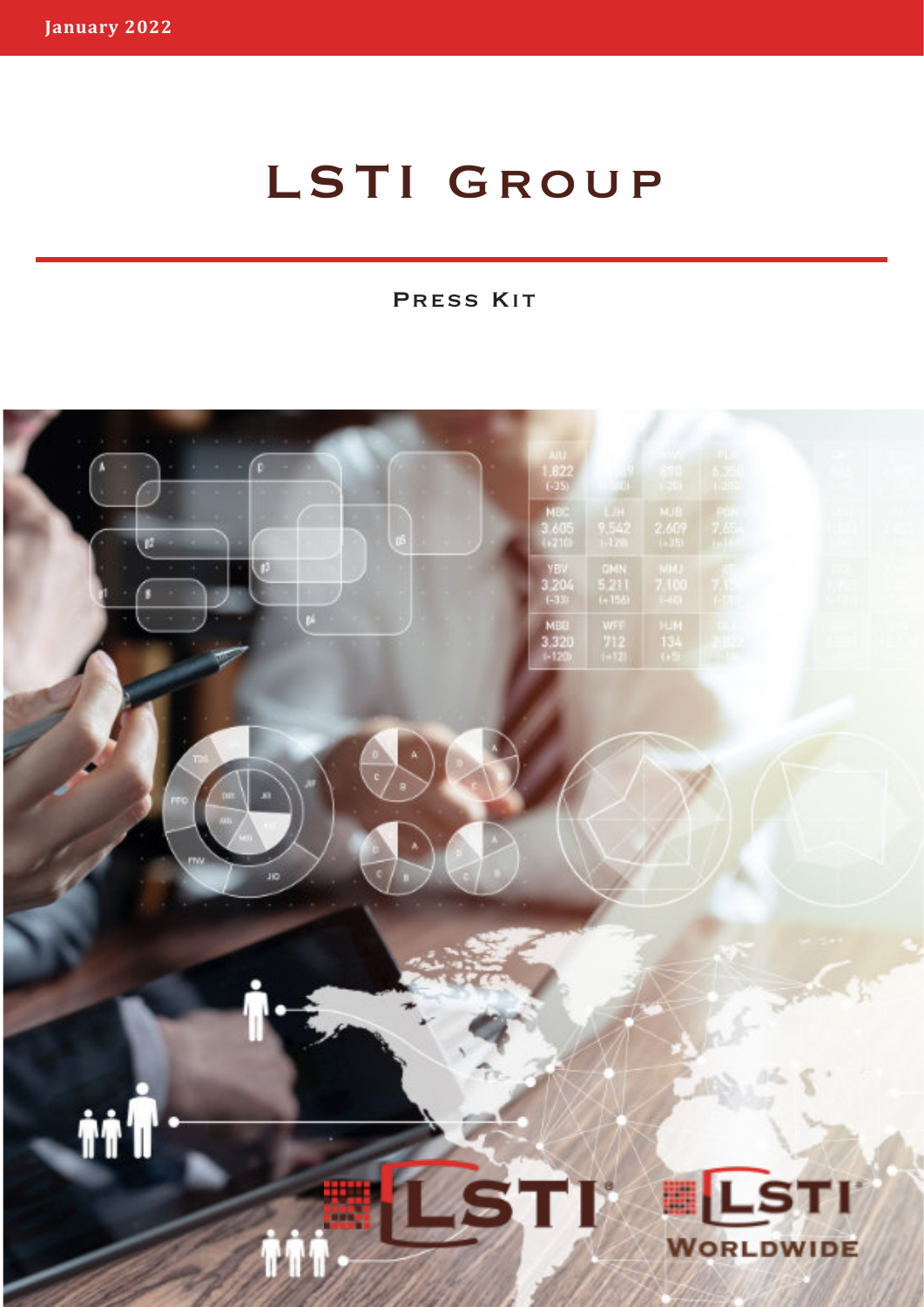# LSTI GROUP

Press Kit

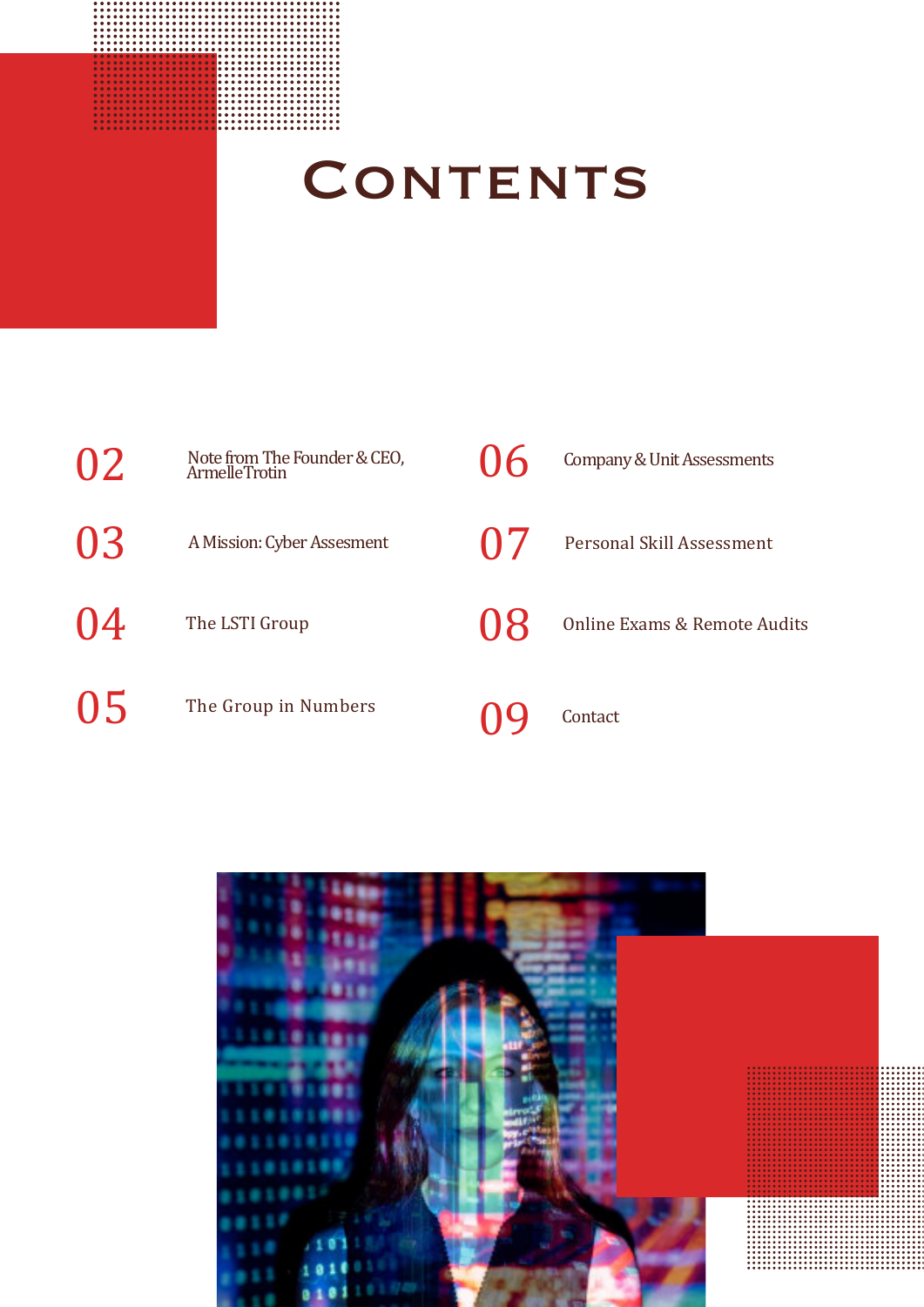

# CONTENTS

| 02 | Note from The Founder & CEO,<br>Armelle Trotin | $\mathsf{U}$ | Company & Unit Assessments   |
|----|------------------------------------------------|--------------|------------------------------|
| 03 | A Mission: Cyber Assesment                     | $\Gamma$     | Personal Skill Assessment    |
| 04 | The LSTI Group                                 | $\mathbf{1}$ | Online Exams & Remote Audits |
| 05 | The Group in Numbers                           |              | Contact                      |

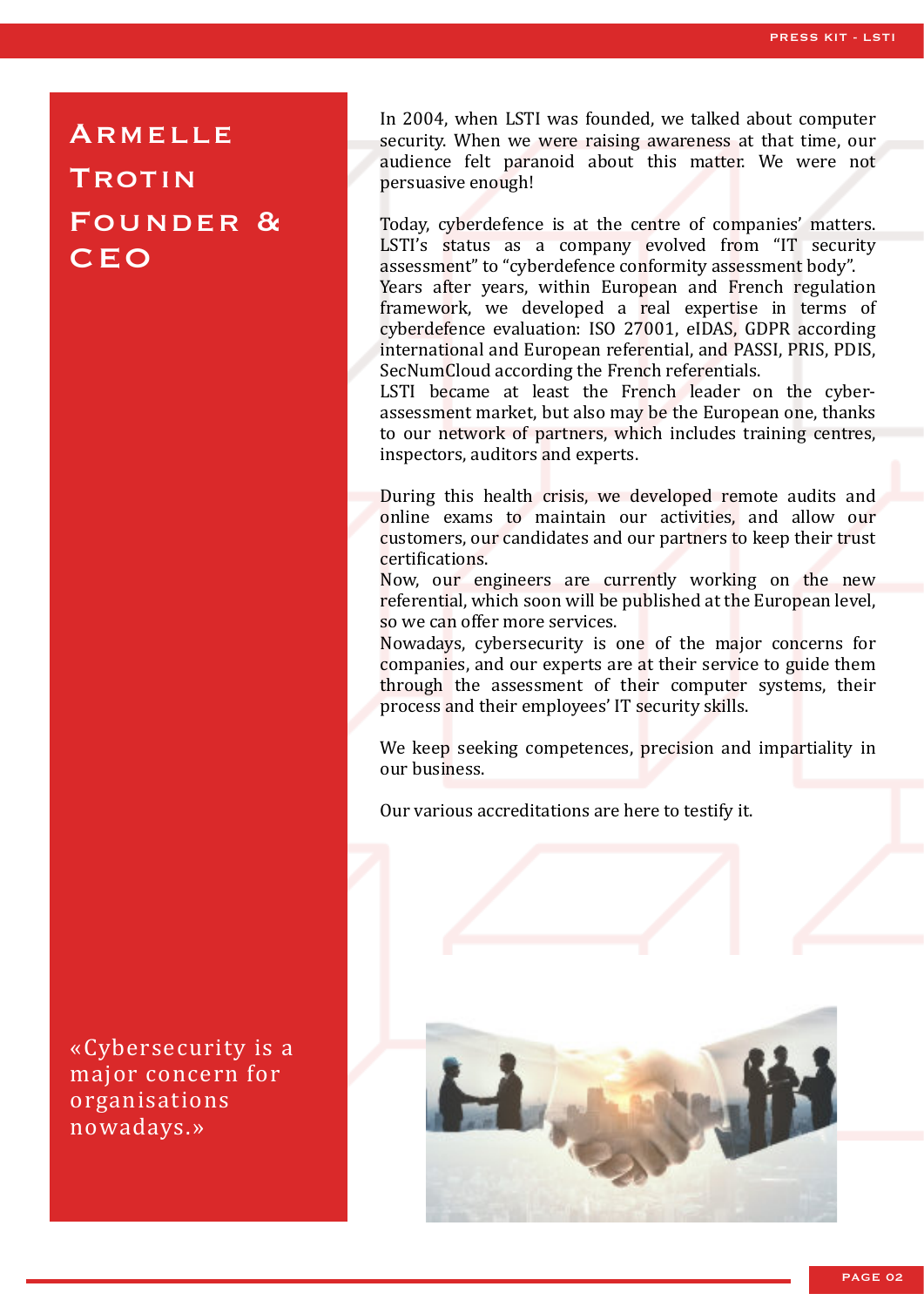## **ARMELLE TROTIN** FOUNDER & **CEO**

«Cybersecurity is a major concern for organisations nowadays.»

In 2004, when LSTI was founded, we talked about computer security. When we were raising awareness at that time, our audience felt paranoid about this matter. We were not persuasive enough!

Today, cyberdefence is at the centre of companies' matters. LSTI's status as a company evolved from "IT security assessment" to "cyberdefence conformity assessment body". Years after years, within European and French regulation framework, we developed a real expertise in terms of cyberdefence evaluation: ISO 27001, eIDAS, GDPR according international and European referential, and PASSI, PRIS, PDIS, SecNumCloud according the French referentials.

LSTI became at least the French leader on the cyberassessment market, but also may be the European one, thanks to our network of partners, which includes training centres, inspectors, auditors and experts.

During this health crisis, we developed remote audits and online exams to maintain our activities, and allow our customers, our candidates and our partners to keep their trust certifications.

Now, our engineers are currently working on the new referential, which soon will be published at the European level, so we can offer more services.

Nowadays, cybersecurity is one of the major concerns for companies, and our experts are at their service to guide them through the assessment of their computer systems, their process and their employees' IT security skills.

We keep seeking competences, precision and impartiality in our business.

Our various accreditations are here to testify it.

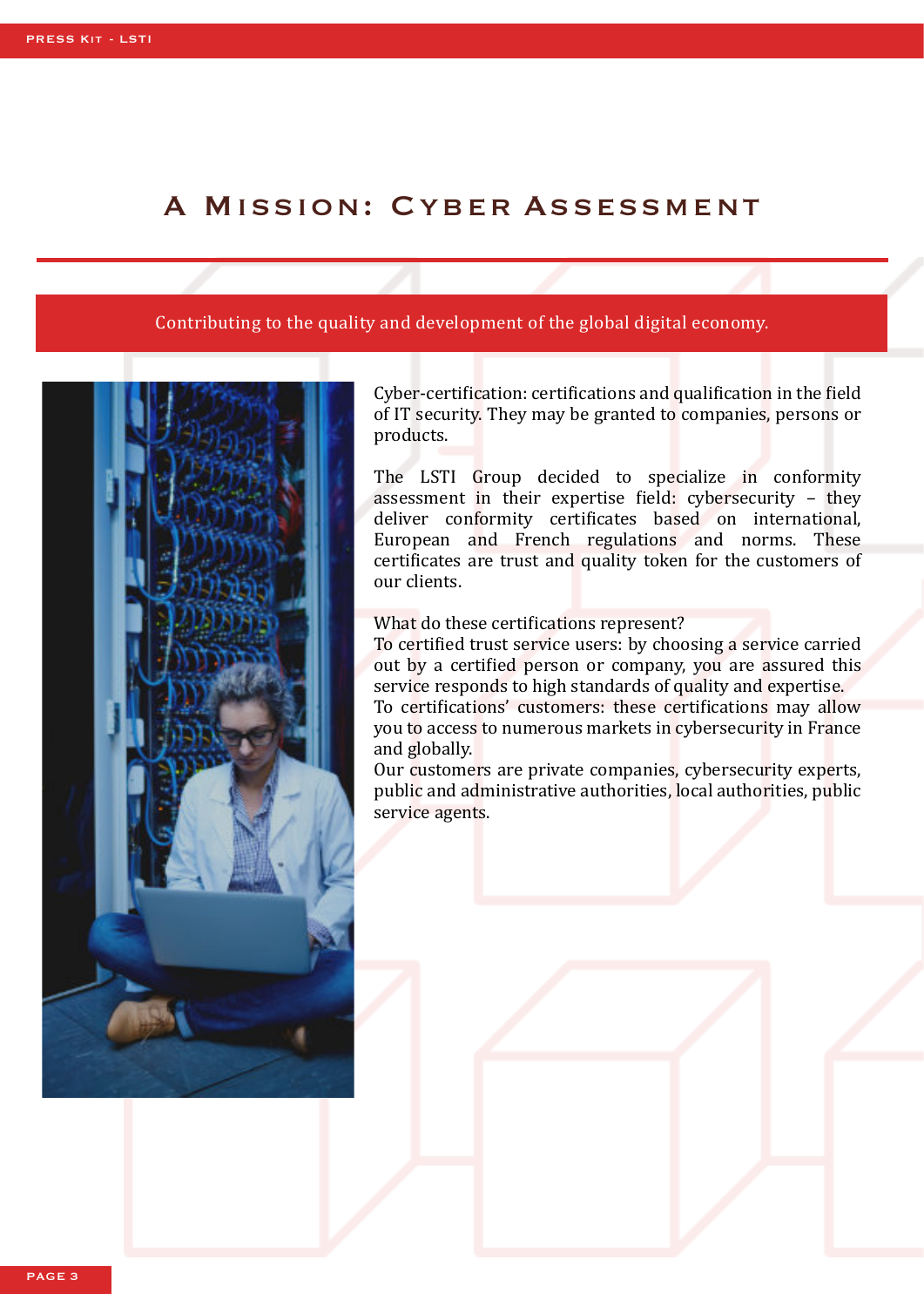## A MISSION: CYBER ASSESSMENT

#### Contributing to the quality and development of the global digital economy.



Cyber-certification: certifications and qualification in the field of IT security. They may be granted to companies, persons or products.

The LSTI Group decided to specialize in conformity assessment in their expertise �ield: cybersecurity – they deliver conformity certificates based on international, European and French regulations and norms. These certificates are trust and quality token for the customers of our clients.

#### What do these certifications represent?

To certified trust service users: by choosing a service carried out by a certified person or company, you are assured this service responds to high standards of quality and expertise. To certifications' customers: these certifications may allow you to access to numerous markets in cybersecurity in France and globally.

Our customers are private companies, cybersecurity experts, public and administrative authorities, local authorities, public service agents.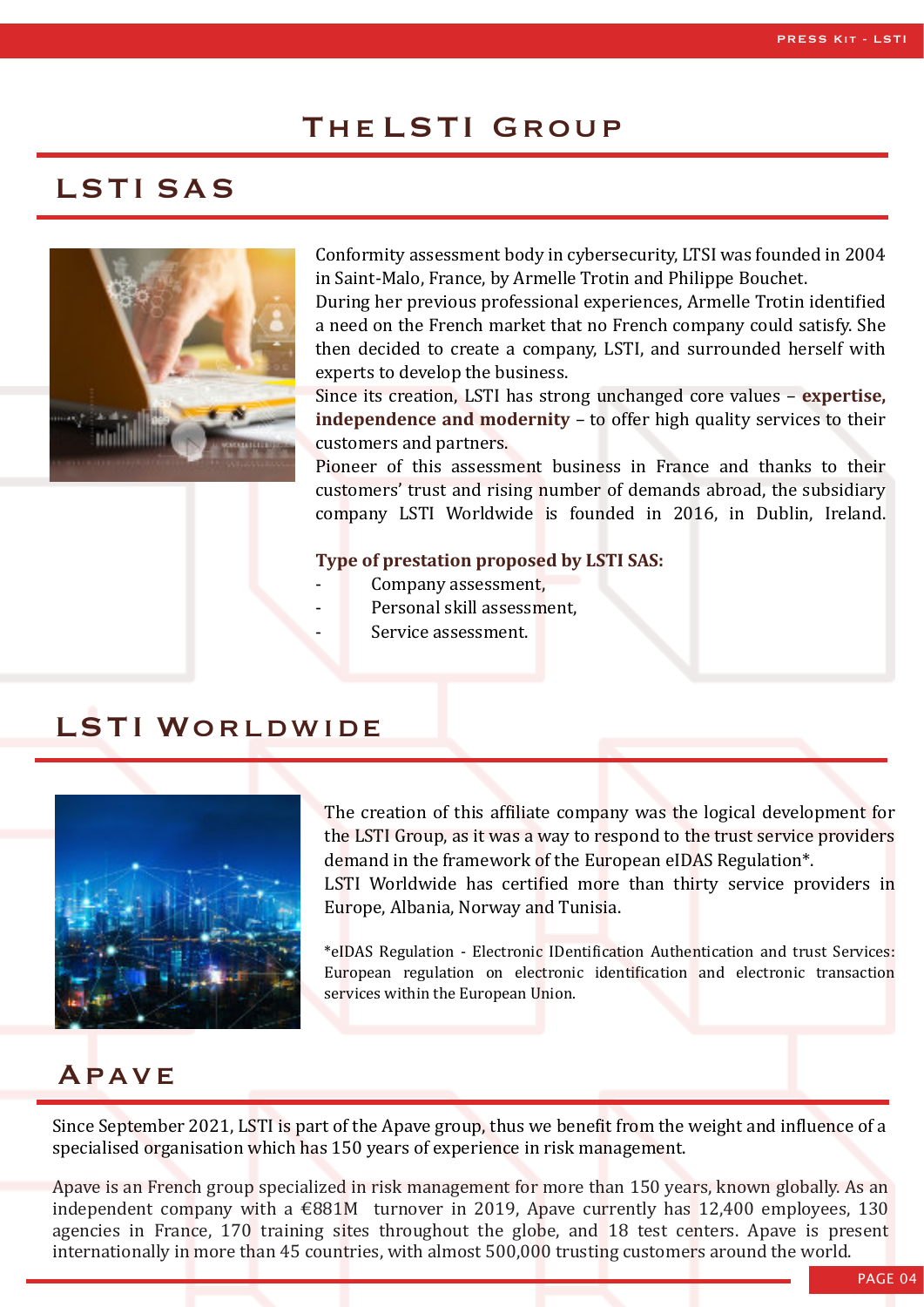## The LSTI Group

## LSTI SAS



Conformity assessment body in cybersecurity, LTSI was founded in 2004 in Saint-Malo, France, by Armelle Trotin and Philippe Bouchet.

During her previous professional experiences, Armelle Trotin identified a need on the French market that no French company could satisfy. She then decided to create a company, LSTI, and surrounded herself with experts to develop the business.

Since its creation, LSTI has strong unchanged core values – **expertise, independence and modernity** – to offer high quality services to their customers and partners.

Pioneer of this assessment business in France and thanks to their customers' trust and rising number of demands abroad, the subsidiary company LSTI Worldwide is founded in 2016, in Dublin, Ireland.

#### **Type of prestation proposed by LSTI SAS:**

- Company assessment,
- Personal skill assessment.
- Service assessment.

## LSTI WORLDWIDE



The creation of this affiliate company was the logical development for the LSTI Group, as it was a way to respond to the trust service providers demand in the framework of the European eIDAS Regulation\*. LSTI Worldwide has certified more than thirty service providers in

\*eIDAS Regulation - Electronic IDentification Authentication and trust Services: European regulation on electronic identification and electronic transaction services within the European Union.

## Apave

Since September 2021, LSTI is part of the Apave group, thus we benefit from the weight and influence of a specialised organisation which has 150 years of experience in risk management.

Europe, Albania, Norway and Tunisia.

Apave is an French group specialized in risk management for more than 150 years, known globally. As an independent company with a  $\epsilon$ 881M turnover in 2019, Apave currently has 12,400 employees, 130 agencies in France, 170 training sites throughout the globe, and 18 test centers. Apave is present internationally in more than 45 countries, with almost 500,000 trusting customers around the world.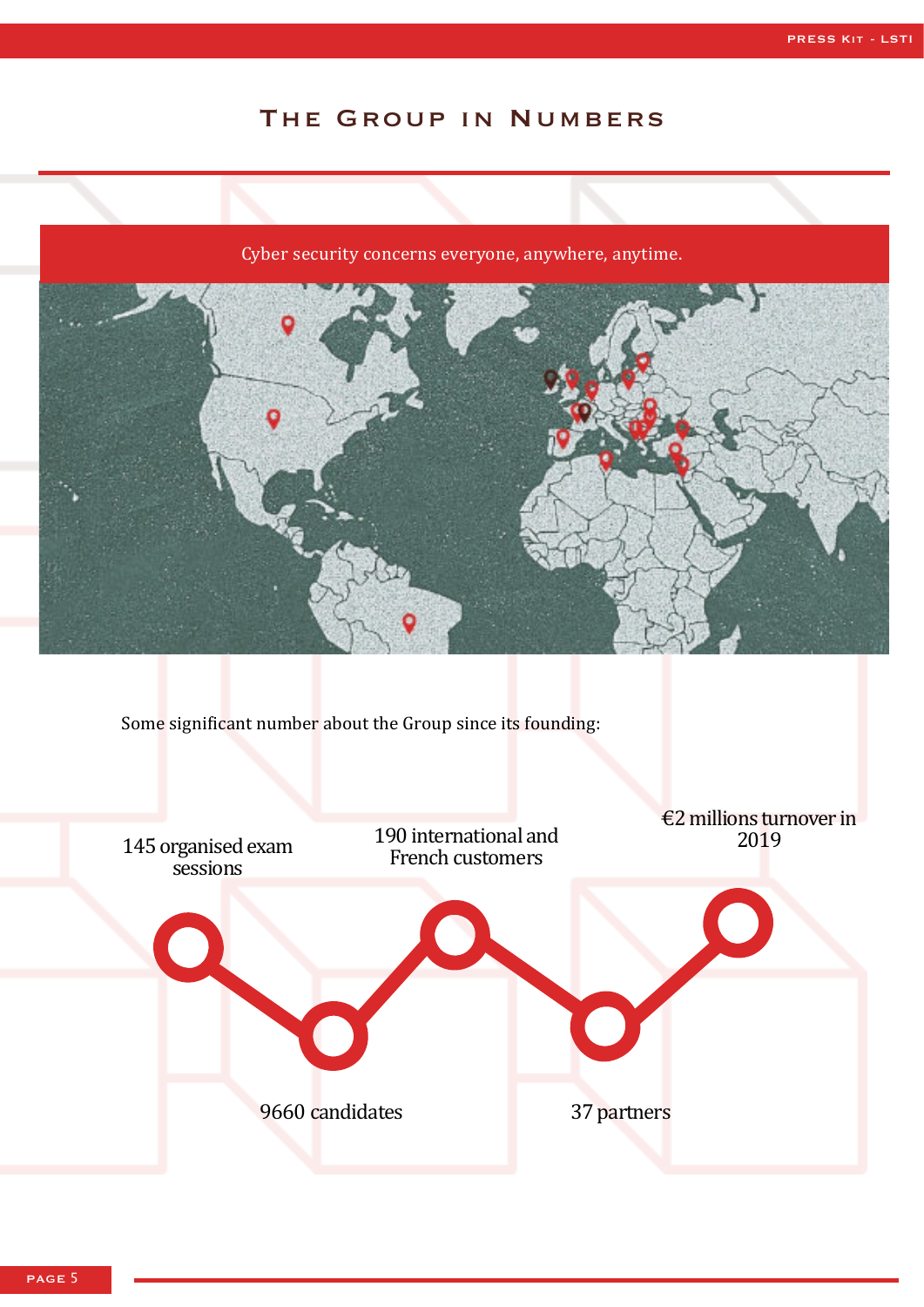## The Group in Numbers

### Cyber security concerns everyone, anywhere, anytime.



Some significant number about the Group since its founding:

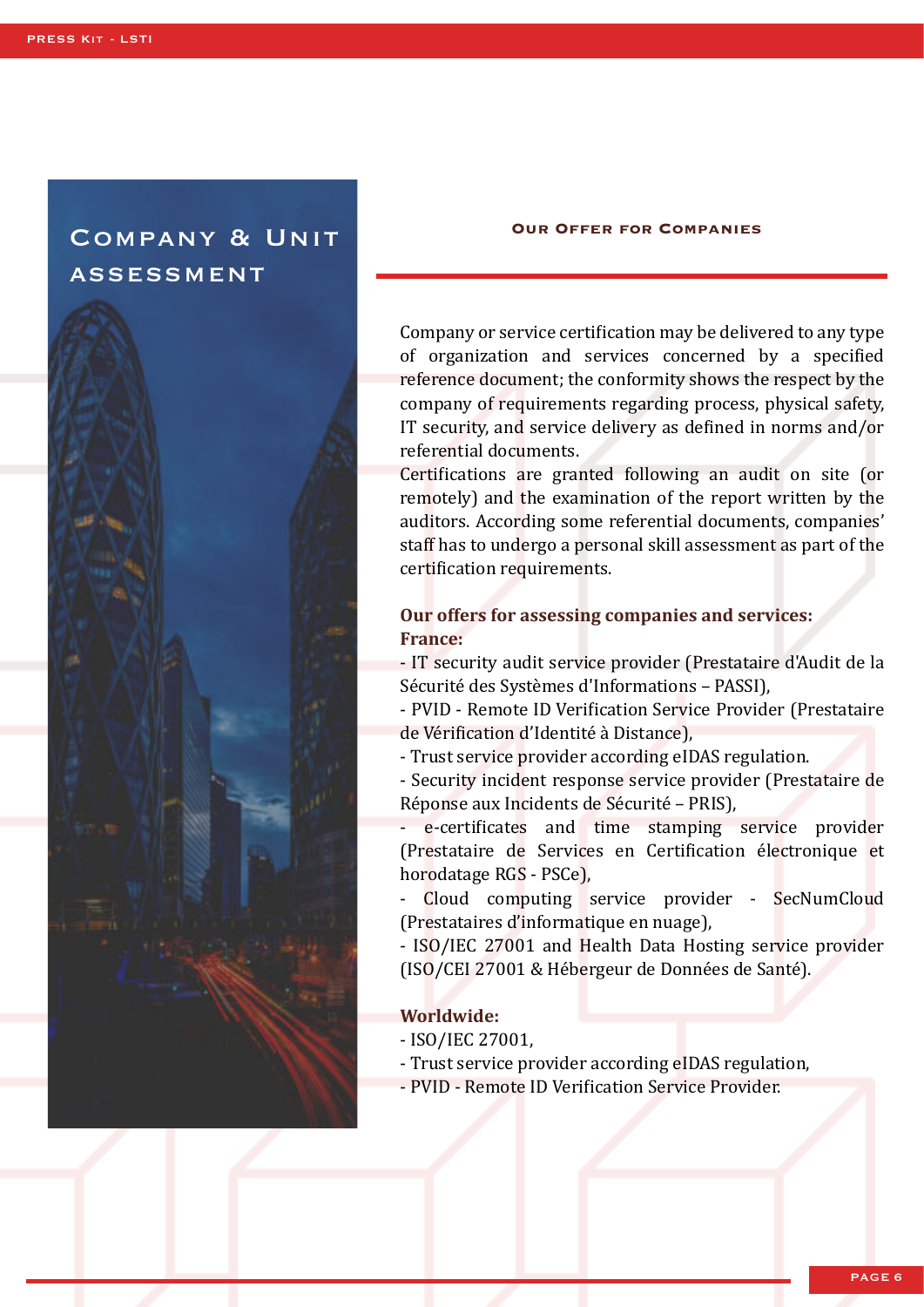## Company & Unit **ASSESSMENT**



#### **Our Offer for Companies**

Company or service certification may be delivered to any type of organization and services concerned by a specified reference document; the conformity shows the respect by the company of requirements regarding process, physical safety, IT security, and service delivery as de�ined in norms and/or referential documents.

Certifications are granted following an audit on site (or remotely) and the examination of the report written by the auditors. According some referential documents, companies' staff has to undergo a personal skill assessment as part of the certification requirements.

### **Our offers for assessing companies and services: France:**

- IT security audit service provider (Prestataire d'Audit de la Sécurité des Systèmes d'Informations – PASSI),

- PVID - Remote ID Verification Service Provider (Prestataire de Vérification d'Identité à Distance),

- Trust service provider according eIDAS regulation.

- Security incident response service provider (Prestataire de Réponse aux Incidents de Sécurité – PRIS),

e-certificates and time stamping service provider (Prestataire de Services en Certification électronique et horodatage RGS - PSCe),

- Cloud computing service provider - SecNumCloud (Prestataires d'informatique en nuage),

- ISO/IEC 27001 and Health Data Hosting service provider (ISO/CEI 27001 & Hébergeur de Données de Santé).

#### **Worldwide:**

- ISO/IEC 27001,
- Trust service provider according eIDAS regulation,
- PVID Remote ID Verification Service Provider.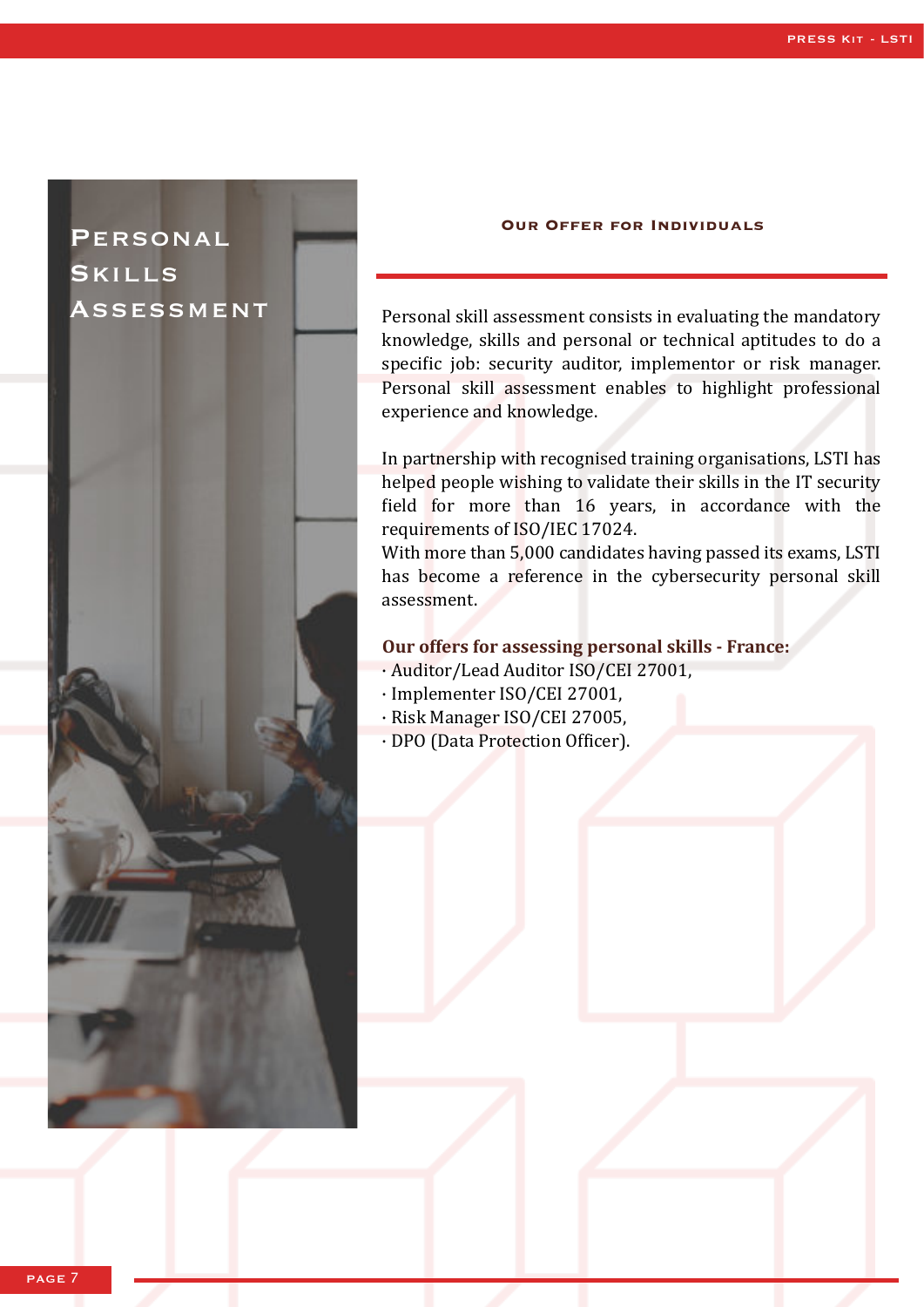## Personal Skills Assessment



#### **Our Offer for Individuals**

Personal skill assessment consists in evaluating the mandatory knowledge, skills and personal or technical aptitudes to do a specific job: security auditor, implementor or risk manager. Personal skill assessment enables to highlight professional experience and knowledge.

In partnership with recognised training organisations, LSTI has helped people wishing to validate their skills in the IT security field for more than 16 years, in accordance with the requirements of ISO/IEC 17024.

With more than 5,000 candidates having passed its exams, LSTI has become a reference in the cybersecurity personal skill assessment.

#### **Our offers for assessing personal skills - France:**

- · Auditor/Lead Auditor ISO/CEI 27001,
- · Implementer ISO/CEI 27001,
- · Risk Manager ISO/CEI 27005,
- · DPO (Data Protection Officer).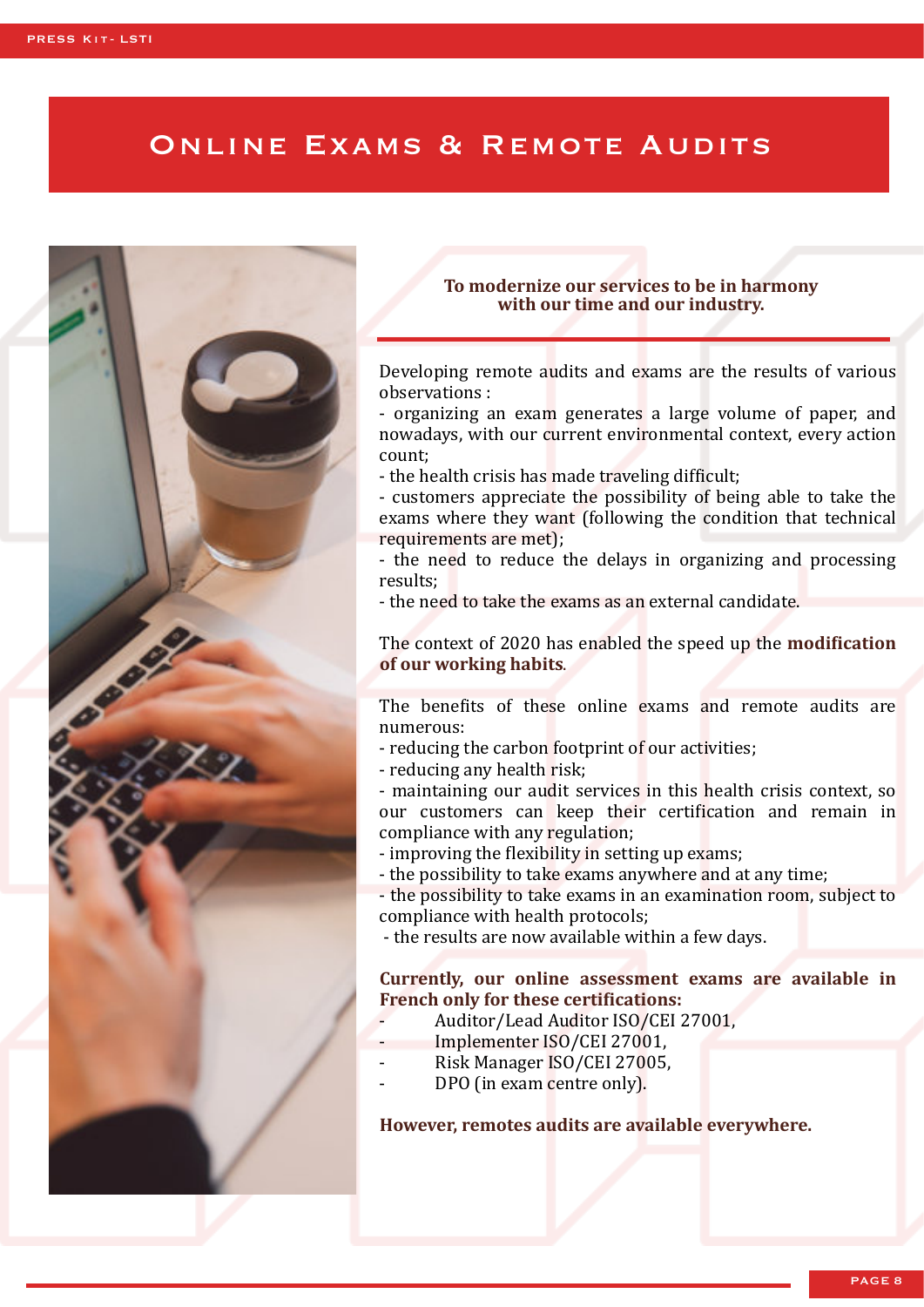## ONLINE EXAMS & REMOTE AUDITS



#### **To modernize our services to be in harmony with our time and our industry.**

Developing remote audits and exams are the results of various observations :

- organizing an exam generates a large volume of paper, and nowadays, with our current environmental context, every action count;

- the health crisis has made traveling difficult;

- customers appreciate the possibility of being able to take the exams where they want (following the condition that technical requirements are met);

- the need to reduce the delays in organizing and processing results;

- the need to take the exams as an external candidate.

The context of 2020 has enabled the speed up the **modi�ication of our working habits**.

The benefits of these online exams and remote audits are numerous:

- reducing the carbon footprint of our activities;
- reducing any health risk;

- maintaining our audit services in this health crisis context, so our customers can keep their certi�ication and remain in compliance with any regulation;

- improving the flexibility in setting up exams;
- the possibility to take exams anywhere and at any time;

- the possibility to take exams in an examination room, subject to compliance with health protocols;

- the results are now available within a few days.

### **Currently, our online assessment exams are available in French only for these certifications:**

- Auditor/Lead Auditor ISO/CEI 27001,
- Implementer ISO/CEI 27001,
- Risk Manager ISO/CEI 27005.
- DPO (in exam centre only).

**However, remotes audits are available everywhere.**